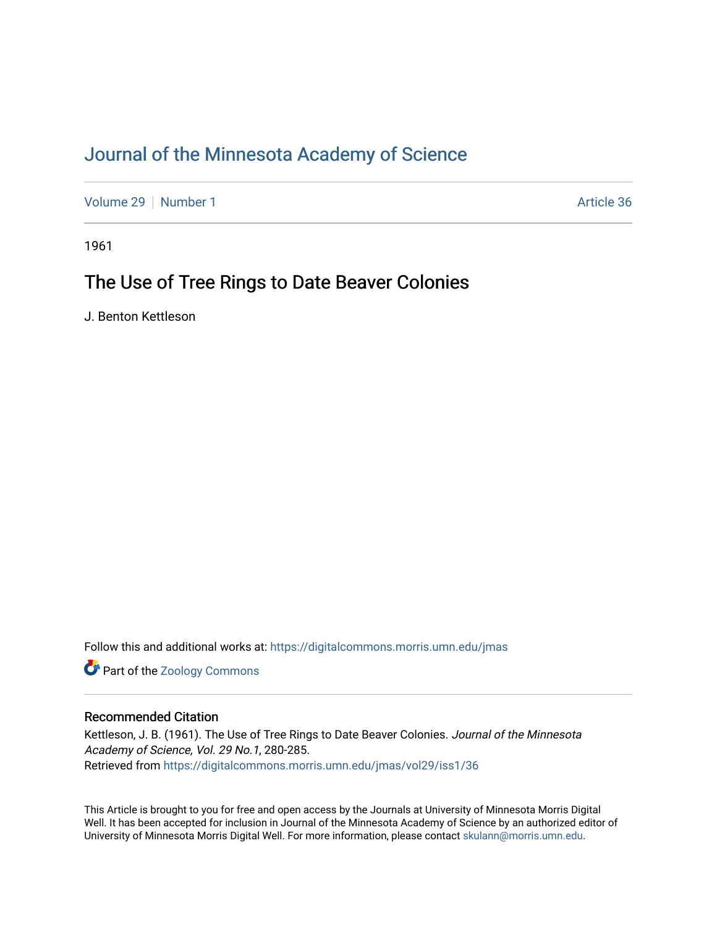## [Journal of the Minnesota Academy of Science](https://digitalcommons.morris.umn.edu/jmas)

[Volume 29](https://digitalcommons.morris.umn.edu/jmas/vol29) [Number 1](https://digitalcommons.morris.umn.edu/jmas/vol29/iss1) Article 36

1961

# The Use of Tree Rings to Date Beaver Colonies

J. Benton Kettleson

Follow this and additional works at: [https://digitalcommons.morris.umn.edu/jmas](https://digitalcommons.morris.umn.edu/jmas?utm_source=digitalcommons.morris.umn.edu%2Fjmas%2Fvol29%2Fiss1%2F36&utm_medium=PDF&utm_campaign=PDFCoverPages) 

**Part of the Zoology Commons** 

## Recommended Citation

Kettleson, J. B. (1961). The Use of Tree Rings to Date Beaver Colonies. Journal of the Minnesota Academy of Science, Vol. 29 No.1, 280-285. Retrieved from [https://digitalcommons.morris.umn.edu/jmas/vol29/iss1/36](https://digitalcommons.morris.umn.edu/jmas/vol29/iss1/36?utm_source=digitalcommons.morris.umn.edu%2Fjmas%2Fvol29%2Fiss1%2F36&utm_medium=PDF&utm_campaign=PDFCoverPages) 

This Article is brought to you for free and open access by the Journals at University of Minnesota Morris Digital Well. It has been accepted for inclusion in Journal of the Minnesota Academy of Science by an authorized editor of University of Minnesota Morris Digital Well. For more information, please contact [skulann@morris.umn.edu](mailto:skulann@morris.umn.edu).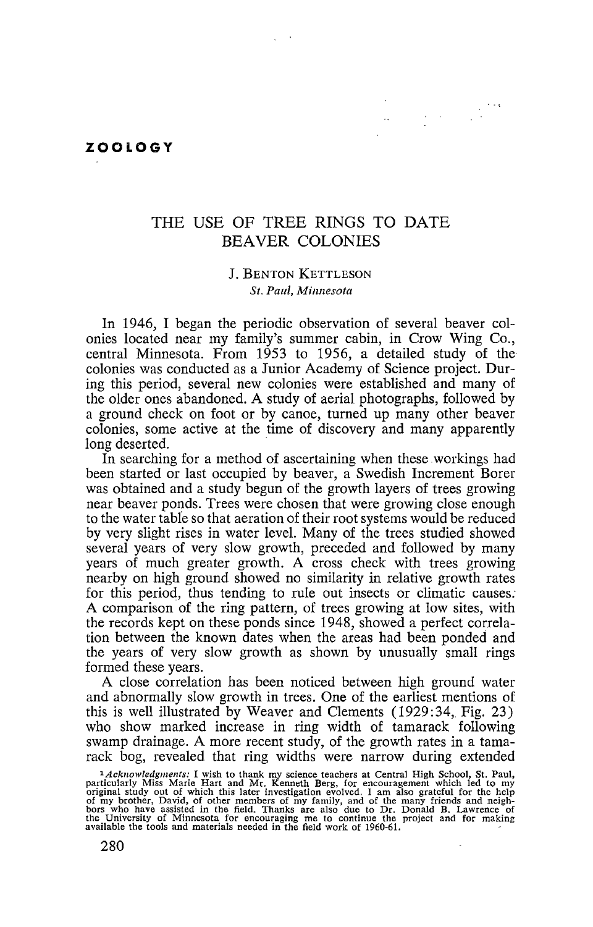#### **ZOOLOGY**

## THE USE OF TREE RINGS TO DATE BEAVER COLONIES

 $\sim$ 

### J. BENTON KETTLESON *St. Paul, Minnesota*

In 1946, I began the periodic observation of several beaver colonies located near my family's summer cabin, in Crow Wing Co., central Minnesota. From 1953 to 1956, a detailed study of the colonies was conducted as a Junior Academy of Science project. During this period, several new colonies were established and many of the older ones abandoned. A study of aerial photographs, followed by a ground check on foot or by canoe, turned up many other beaver colonies, some active at the time of discovery and many apparently long deserted.

In searching for a method of ascertaining when these workings had been started or last occupied by beaver, a Swedish Increment Borer was obtained and a study begun of the growth layers of trees growing near beaver ponds. Trees were chosen that were growing close enough to the water tabfe so that aeration of their root systems would be reduced by very slight rises in water level. Many of the trees studied showed several years of very slow growth, preceded and followed by many years of much greater growth. A cross check with trees growing nearby on high ground showed no similarity in relative growth rates for this period, thus tending to rule out insects or climatic causes: A comparison of the ring pattern, of trees growing at low sites, with the records kept on these ponds since 1948, showed a perfect correlation between the known dates when the areas had been ponded and the years of very slow growth as shown by unusually small rings formed these years.

A close correlation has been noticed between high ground water and abnormally slow growth in trees. One of the earliest mentions of this is well illustrated by Weaver and Clements (1929:34, Fig. 23) who show marked increase in ring width of tamarack following swamp drainage. A more recent study, of the growth rates in a tamarack bog, revealed that ring widths were narrow during extended

<sup>&</sup>lt;sup>1</sup>*Acknowledgments*: I wish to thank my science teachers at Central High School, St. Paul, particularly Miss Marie Hart and Mr. Kenneth Berg, for encouragement which led to my original study out of which this later inves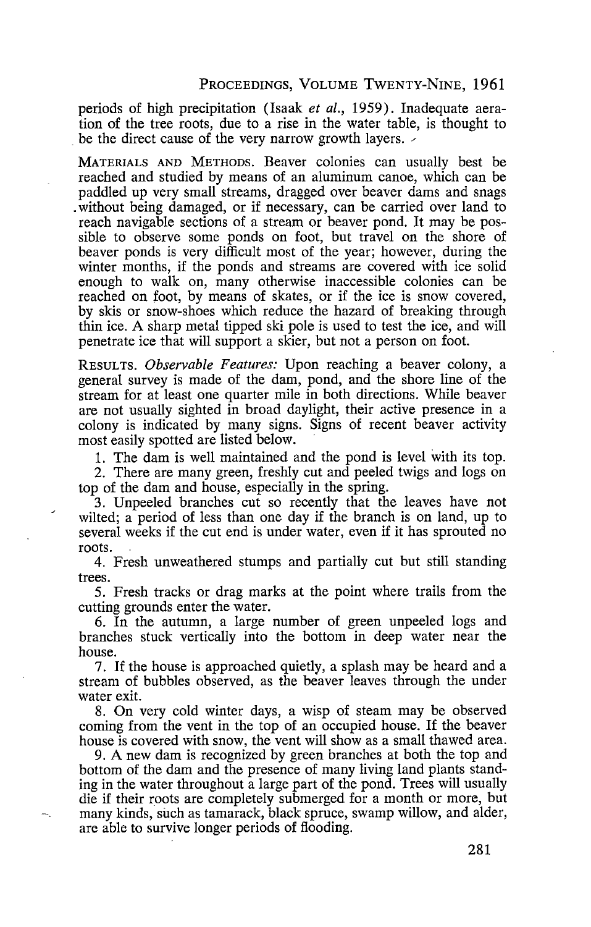### PROCEEDINGS, VOLUME TwENTY-NINE, 1961

periods of high precipitation (Isaak *et al.,* 1959). Inadequate aeration of the tree roots, due to a rise in the water table, is thought to be the direct cause of the very narrow growth layers.  $\sim$ 

MATERIALS AND METHODS. Beaver colonies can usually best be reached and studied by means of an aluminum canoe, which can be paddled up very small streams, dragged over beaver dams and snags . without being damaged, or if necessary, can be carried over land to reach navigable sections of a stream or beaver pond. It may be possible to observe some ponds on foot, but travel on the shore of beaver ponds is very difficult most of the year; however, during the winter months, if the ponds and streams are covered with ice solid enough to walk on, many otherwise inaccessible colonies can be reached on foot, by means of skates, or if the ice is snow covered, by skis or snow-shoes which reduce the hazard of breaking through thin ice. A sharp metal tipped ski pole is used to test the ice, and will penetrate ice that will support a skier, but not a person on foot.

RESULTS. *Observable Features:* Upon reaching a beaver colony, a general survey is made of the dam, pond, and the shore line of the stream for at least one quarter mile in both directions. While beaver are not usually sighted in broad daylight, their active presence in a colony is indicated by many signs. Signs of recent beaver activity most easily spotted are listed below.

1. The dam is well maintained and the pond is level with its top.

2. There are many green, freshly cut and peeled twigs and logs on top of the dam and house, especially in the spring.

3. Unpeeled branches cut so recently that the leaves have not wilted; a period of less than one day if the branch is on land, up to several weeks if the cut end is under water, even if it has sprouted no roots.

4. Fresh unweathered stumps and partially cut but still standing trees.

5. Fresh tracks or drag marks at the point where trails from the cutting grounds enter the water.

6. In the autumn, a large number of green unpeeled logs and branches stuck vertically into the bottom in deep water near the house.

7. If the house is approached quietly, a splash may be heard and a stream of bubbles observed, as the beaver leaves through the under water exit.

8. On very cold winter days, a wisp of steam may be observed coming from the vent in the top of an occupied house. If the beaver house is covered with snow, the vent will show as a small thawed area.

9. A new dam is recognized by green branches at both the top and bottom of the dam and the presence of many living land plants standing in the water throughout a large part of the pond. Trees will usually die if their roots are completely submerged for a month or more, but many kinds, such as tamarack, black spruce, swamp willow, and alder, are able to survive longer periods of flooding.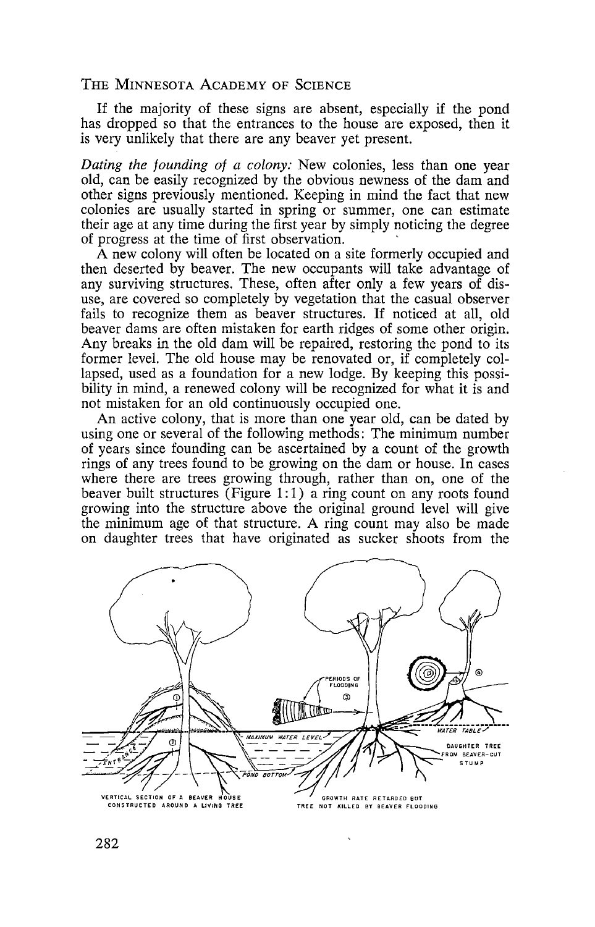THE MINNESOTA ACADEMY OF SCIENCE

If the majority of these signs are absent, especially if the pond has dropped so that the entrances to the house are exposed, then it is very unlikely that there are any beaver yet present.

*Dating the founding of a colony:* New colonies, less than one year old, can be easily recognized by the obvious newness of the dam and other signs previously mentioned. Keeping in mind the fact that new colonies are usually started in spring or summer, one can estimate their age at any time during the first year by simply noticing the degree of progress at the time of first observation. ·

A new colony will often be located on a site formerly occupied and then deserted by beaver. The new occupants will take advantage of any surviving structures. These, often after only a few years of disuse, are covered so completely by vegetation that the casual observer fails to recognize them as beaver structures. If noticed at all, old beaver dams are often mistaken for earth ridges of some other origin. Any breaks in the old dam will be repaired, restoring the pond to its former level. The old house may be renovated or, if completely collapsed, used as a foundation for a new lodge. By keeping this possibility in mind, a renewed colony will be recognized for what it is and not mistaken for an old continuously occupied one.

An active colony, that is more than one year old, can be dated by using one or several of the following methods: The minimum number of years since founding can be ascertained by a count of the growth rings of any trees found to be growing on the dam or house. In cases where there are trees growing through, rather than on, one of the beaver built structures (Figure 1:1) a ring count on any roots found growing into the structure above the original ground level will give the minimum age of that structure. A ring count may also be made on daughter trees that have originated as sucker shoots from the



282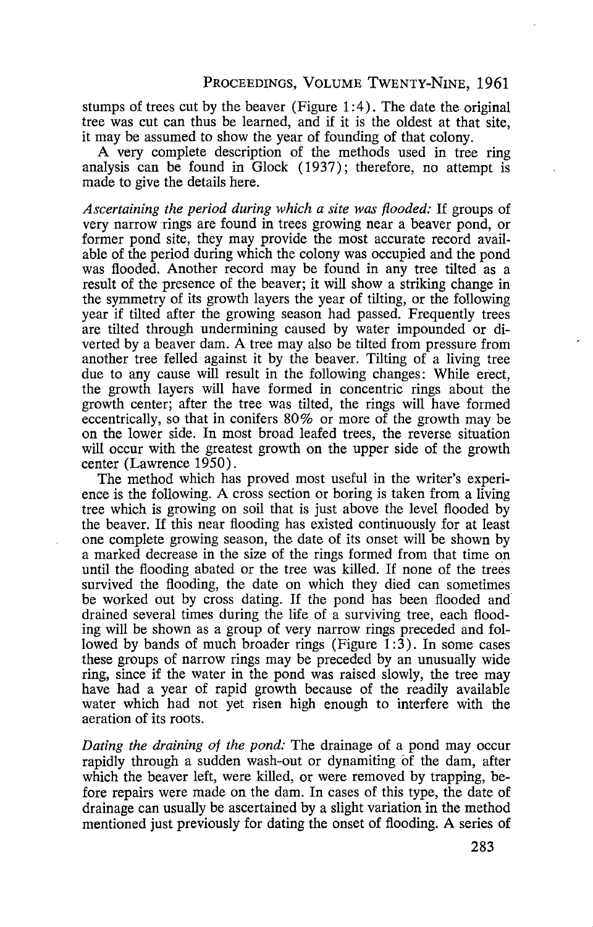stumps of trees cut by the beaver (Figure 1:4). The date the original tree was cut can thus be learned, and if it is the oldest at that site, it may be assumed to show the year of founding of that colony.

A very complete description of the methods used in tree ring analysis can be found in Glock (1937); therefore, no attempt is made to give the details here.

*Ascertaining the period during which a site was flooded:* If groups of very narrow rings are found in trees growing near a beaver pond, or former pond site, they may provide the most accurate record available of the period during which the colony was occupied and the pond was flooded. Another record may be found in any tree tilted as a result of the presence of the beaver; it will show a striking change in the symmetry of its growth layers the year of tilting, or the following year if tilted after the growing season had passed. Frequently trees are tilted through undermining caused by water impounded or diverted by a beaver dam. A tree may also be tilted from pressure from another tree felled against it by the beaver. Tilting of a living tree due to any cause will result in the following changes: While erect, the growth layers will have formed in concentric rings about the growth center; after the tree was tilted, the rings will have formed eccentrically, so that in conifers 80% or more of the growth may be on the lower side. In most broad leafed trees, the reverse situation will occur with the greatest growth on the upper side of the growth center (Lawrence 1950).

The method which has proved most useful in the writer's experience is the following. A cross section or boring is taken from a living tree which is growing on soil that is just above the level flooded by the beaver. If this near flooding has existed continuously for at least one complete growing season, the date of its onset will be shown by a marked decrease in the size of the rings formed from that time on until the flooding abated or the tree was killed. If none of the trees survived the flooding, the date on which they died can sometimes be worked out by cross dating. If the pond has been flooded and drained several times during the life of a surviving tree, each flooding will be shown as a group of very narrow rings preceded and followed by bands of much broader rings (Figure 1:3). In some cases these groups of narrow rings may be preceded by an unusually wide ring, since if the water in the pond was raised slowly, the tree may have had a year of rapid growth because of the readily available water which had not yet risen high enough to interfere with the aeration of its roots.

*Dating the draining of the pond:* The drainage of a pond may occur rapidly through a sudden wash-out or dynamiting of the dam, after which the beaver left, were killed, or were removed by trapping, before repairs were made on the dam. In cases of this type, the date of drainage can usually be ascertained by a slight variation in the method mentioned just previously for dating the onset of flooding. A series of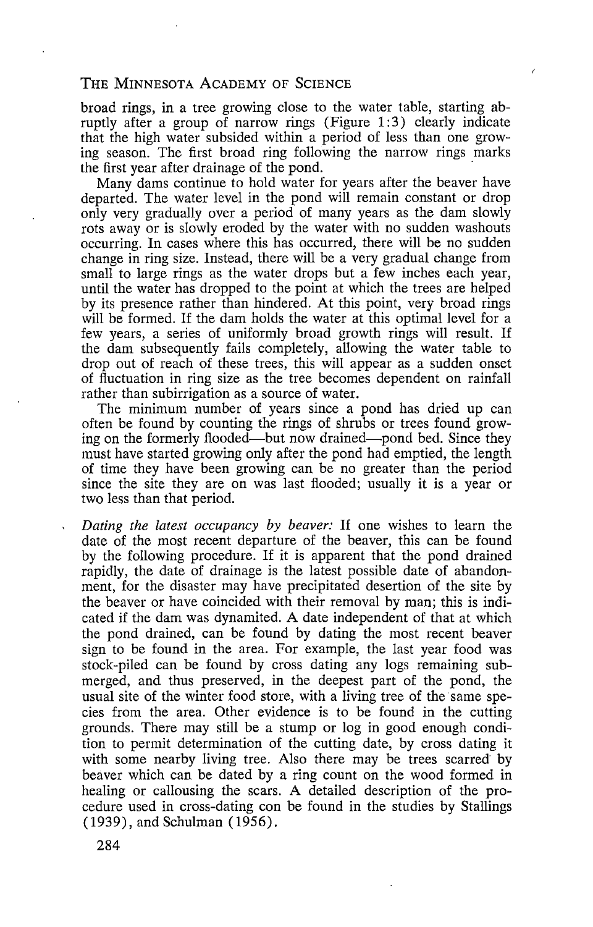## THE MINNESOTA ACADEMY OF SCIENCE

broad rings, in a tree growing close to the water table, starting abruptly after a group of narrow rings (Figure 1:3) clearly indicate that the high water subsided within a period of less than one growing season. The first broad ring following the narrow rings marks the first year after drainage of the pond.

Many dams continue to hold water for years after the beaver have departed. The water level in the pond will remain constant or drop only very gradually over a period of many years as the dam slowly rots away or is slowly eroded by the water with no sudden washouts occurring. In cases where this has occurred, there will be no sudden change in ring size. Instead, there will be a very gradual change from small to large rings as the water drops but a few inches each year, until the water has dropped to the point at which the trees are helped by its presence rather than hindered. At this point, very broad rings will be formed. If the dam holds the water at this optimal level for a few years, a series of uniformly broad growth rings will result. If the dam subsequently fails completely, allowing the water table to drop out of reach of these trees, this will appear as a sudden onset of fluctuation in ring size as the tree becomes dependent on rainfall rather than subirrigation as a source of water.

The minimum number of years since a pond has dried up can often be found by counting the rings of shrubs or trees found growing on the formerly flooded-but now drained-pond bed. Since they must have started growing only after the pond had emptied, the length of time they have been growing can be no greater than the period since the site they are on was last flooded; usually it is a year or two less than that period.

*Dating the latest occupancy by beaver:* If one wishes to learn the date of the most recent departure of the beaver, this can be found by the following procedure. If it is apparent that the pond drained rapidly, the date of drainage is the latest possible date of abandonment, for the disaster may have precipitated desertion of the site by the beaver or have coincided with their removal by man; this is indicated if the dam was dynamited. A date independent of that at which the pond drained, can be found by dating the most recent beaver sign to be found in the area. For example, the last year food was stock-piled can be found by cross dating any logs remaining submerged, and thus preserved, in the deepest part of the pond, the usual site of the winter food store, with a living tree of the same species from the area. Other evidence is to be found in the cutting grounds. There may still be a stump or log in good enough condition to permit determination of the cutting date, by cross dating it with some nearby living tree. Also there may be trees scarred by beaver which can be dated by a ring count on the wood formed in healing or callousing the scars. A detailed description of the procedure used in cross-dating con be found in the studies by Stallings (1939), and Schulman (1956).